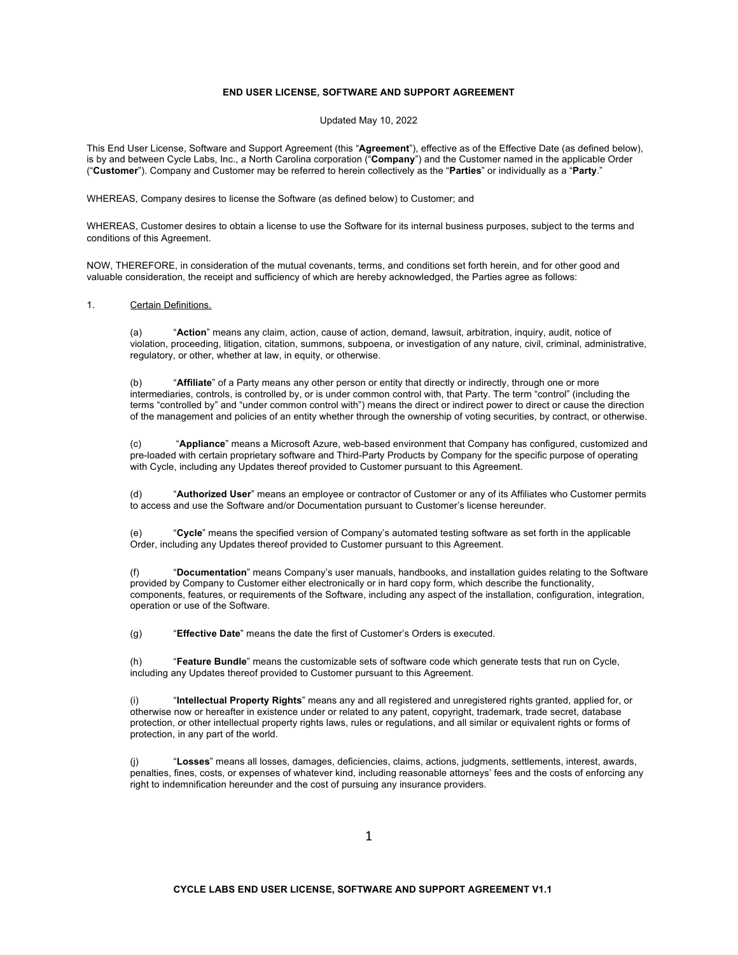### **END USER LICENSE, SOFTWARE AND SUPPORT AGREEMENT**

Updated May 10, 2022

This End User License, Software and Support Agreement (this "**Agreement**"), effective as of the Effective Date (as defined below), is by and between Cycle Labs, Inc., a North Carolina corporation ("**Company**") and the Customer named in the applicable Order ("**Customer**"). Company and Customer may be referred to herein collectively as the "**Parties**" or individually as a "**Party**."

WHEREAS, Company desires to license the Software (as defined below) to Customer; and

WHEREAS, Customer desires to obtain a license to use the Software for its internal business purposes, subject to the terms and conditions of this Agreement.

NOW, THEREFORE, in consideration of the mutual covenants, terms, and conditions set forth herein, and for other good and valuable consideration, the receipt and sufficiency of which are hereby acknowledged, the Parties agree as follows:

### 1. Certain Definitions.

"Action" means any claim, action, cause of action, demand, lawsuit, arbitration, inquiry, audit, notice of violation, proceeding, litigation, citation, summons, subpoena, or investigation of any nature, civil, criminal, administrative, regulatory, or other, whether at law, in equity, or otherwise.

(b) "**Affiliate**" of a Party means any other person or entity that directly or indirectly, through one or more intermediaries, controls, is controlled by, or is under common control with, that Party. The term "control" (including the terms "controlled by" and "under common control with") means the direct or indirect power to direct or cause the direction of the management and policies of an entity whether through the ownership of voting securities, by contract, or otherwise.

(c) "**Appliance**" means a Microsoft Azure, web-based environment that Company has configured, customized and pre-loaded with certain proprietary software and Third-Party Products by Company for the specific purpose of operating with Cycle, including any Updates thereof provided to Customer pursuant to this Agreement.

(d) "**Authorized User**" means an employee or contractor of Customer or any of its Affiliates who Customer permits to access and use the Software and/or Documentation pursuant to Customer's license hereunder.

(e) "**Cycle**" means the specified version of Company's automated testing software as set forth in the applicable Order, including any Updates thereof provided to Customer pursuant to this Agreement.

(f) "**Documentation**" means Company's user manuals, handbooks, and installation guides relating to the Software provided by Company to Customer either electronically or in hard copy form, which describe the functionality, components, features, or requirements of the Software, including any aspect of the installation, configuration, integration, operation or use of the Software.

(g) "**Effective Date**" means the date the first of Customer's Orders is executed.

(h) "**Feature Bundle**" means the customizable sets of software code which generate tests that run on Cycle, including any Updates thereof provided to Customer pursuant to this Agreement.

(i) "**Intellectual Property Rights**" means any and all registered and unregistered rights granted, applied for, or otherwise now or hereafter in existence under or related to any patent, copyright, trademark, trade secret, database protection, or other intellectual property rights laws, rules or regulations, and all similar or equivalent rights or forms of protection, in any part of the world.

(j) "**Losses**" means all losses, damages, deficiencies, claims, actions, judgments, settlements, interest, awards, penalties, fines, costs, or expenses of whatever kind, including reasonable attorneys' fees and the costs of enforcing any right to indemnification hereunder and the cost of pursuing any insurance providers.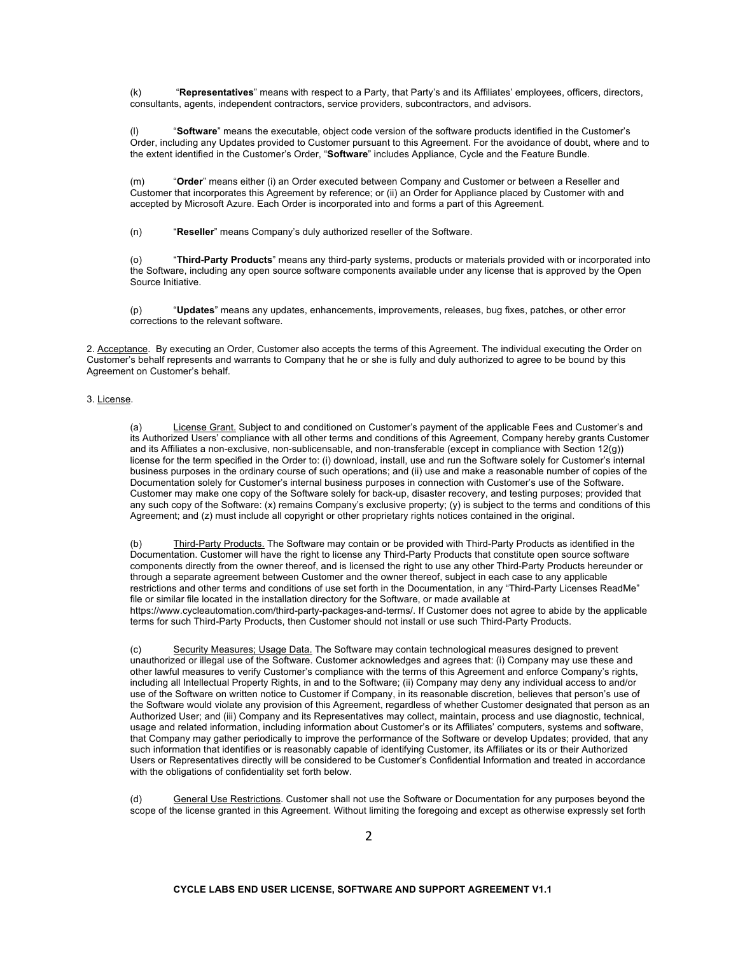(k) "**Representatives**" means with respect to a Party, that Party's and its Affiliates' employees, officers, directors, consultants, agents, independent contractors, service providers, subcontractors, and advisors.

"**Software**" means the executable, object code version of the software products identified in the Customer's Order, including any Updates provided to Customer pursuant to this Agreement. For the avoidance of doubt, where and to the extent identified in the Customer's Order, "**Software**" includes Appliance, Cycle and the Feature Bundle.

(m) "**Order**" means either (i) an Order executed between Company and Customer or between a Reseller and Customer that incorporates this Agreement by reference; or (ii) an Order for Appliance placed by Customer with and accepted by Microsoft Azure. Each Order is incorporated into and forms a part of this Agreement.

(n) "**Reseller**" means Company's duly authorized reseller of the Software.

(o) "**Third-Party Products**" means any third-party systems, products or materials provided with or incorporated into the Software, including any open source software components available under any license that is approved by the Open Source Initiative.

(p) "**Updates**" means any updates, enhancements, improvements, releases, bug fixes, patches, or other error corrections to the relevant software.

2. Acceptance. By executing an Order, Customer also accepts the terms of this Agreement. The individual executing the Order on Customer's behalf represents and warrants to Company that he or she is fully and duly authorized to agree to be bound by this Agreement on Customer's behalf.

# 3. License.

(a) License Grant. Subject to and conditioned on Customer's payment of the applicable Fees and Customer's and its Authorized Users' compliance with all other terms and conditions of this Agreement, Company hereby grants Customer and its Affiliates a non-exclusive, non-sublicensable, and non-transferable (except in compliance with Section 12(g)) license for the term specified in the Order to: (i) download, install, use and run the Software solely for Customer's internal business purposes in the ordinary course of such operations; and (ii) use and make a reasonable number of copies of the Documentation solely for Customer's internal business purposes in connection with Customer's use of the Software. Customer may make one copy of the Software solely for back-up, disaster recovery, and testing purposes; provided that any such copy of the Software: (x) remains Company's exclusive property; (y) is subject to the terms and conditions of this Agreement; and (z) must include all copyright or other proprietary rights notices contained in the original.

(b) Third-Party Products. The Software may contain or be provided with Third-Party Products as identified in the Documentation. Customer will have the right to license any Third-Party Products that constitute open source software components directly from the owner thereof, and is licensed the right to use any other Third-Party Products hereunder or through a separate agreement between Customer and the owner thereof, subject in each case to any applicable restrictions and other terms and conditions of use set forth in the Documentation, in any "Third-Party Licenses ReadMe" file or similar file located in the installation directory for the Software, or made available at https://www.cycleautomation.com/third-party-packages-and-terms/. If Customer does not agree to abide by the applicable terms for such Third-Party Products, then Customer should not install or use such Third-Party Products.

(c) Security Measures; Usage Data. The Software may contain technological measures designed to prevent unauthorized or illegal use of the Software. Customer acknowledges and agrees that: (i) Company may use these and other lawful measures to verify Customer's compliance with the terms of this Agreement and enforce Company's rights, including all Intellectual Property Rights, in and to the Software; (ii) Company may deny any individual access to and/or use of the Software on written notice to Customer if Company, in its reasonable discretion, believes that person's use of the Software would violate any provision of this Agreement, regardless of whether Customer designated that person as an Authorized User; and (iii) Company and its Representatives may collect, maintain, process and use diagnostic, technical, usage and related information, including information about Customer's or its Affiliates' computers, systems and software, that Company may gather periodically to improve the performance of the Software or develop Updates; provided, that any such information that identifies or is reasonably capable of identifying Customer, its Affiliates or its or their Authorized Users or Representatives directly will be considered to be Customer's Confidential Information and treated in accordance with the obligations of confidentiality set forth below.

(d) General Use Restrictions. Customer shall not use the Software or Documentation for any purposes beyond the scope of the license granted in this Agreement. Without limiting the foregoing and except as otherwise expressly set forth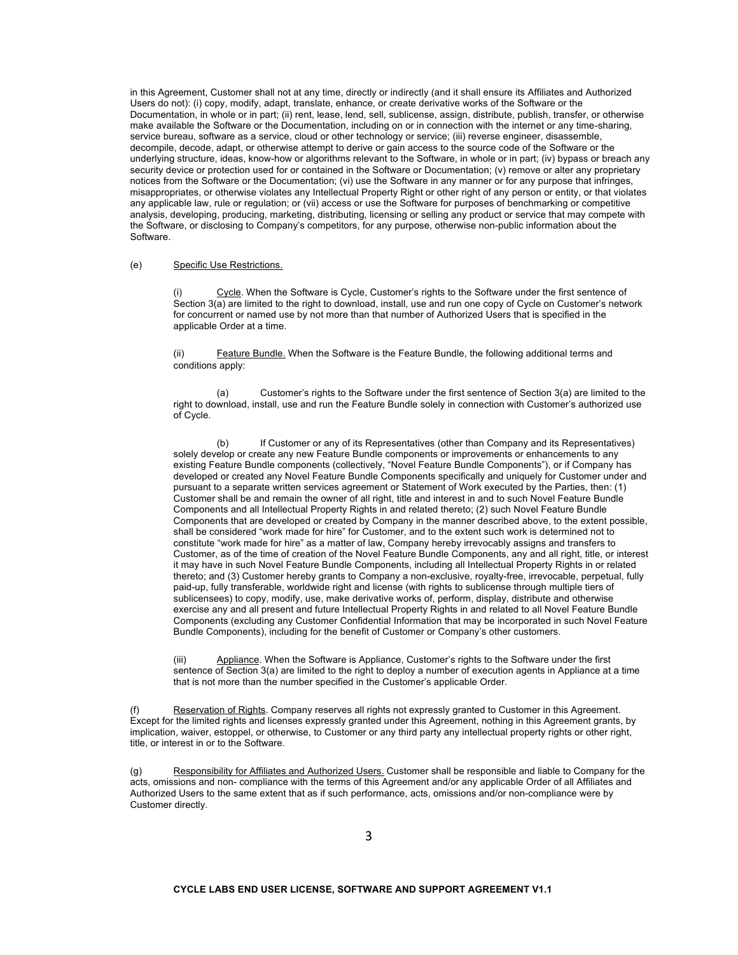in this Agreement, Customer shall not at any time, directly or indirectly (and it shall ensure its Affiliates and Authorized Users do not): (i) copy, modify, adapt, translate, enhance, or create derivative works of the Software or the Documentation, in whole or in part; (ii) rent, lease, lend, sell, sublicense, assign, distribute, publish, transfer, or otherwise make available the Software or the Documentation, including on or in connection with the internet or any time-sharing, service bureau, software as a service, cloud or other technology or service; (iii) reverse engineer, disassemble, decompile, decode, adapt, or otherwise attempt to derive or gain access to the source code of the Software or the underlying structure, ideas, know-how or algorithms relevant to the Software, in whole or in part; (iv) bypass or breach any security device or protection used for or contained in the Software or Documentation; (v) remove or alter any proprietary notices from the Software or the Documentation; (vi) use the Software in any manner or for any purpose that infringes, misappropriates, or otherwise violates any Intellectual Property Right or other right of any person or entity, or that violates any applicable law, rule or regulation; or (vii) access or use the Software for purposes of benchmarking or competitive analysis, developing, producing, marketing, distributing, licensing or selling any product or service that may compete with the Software, or disclosing to Company's competitors, for any purpose, otherwise non-public information about the Software.

### (e) Specific Use Restrictions.

Cycle. When the Software is Cycle, Customer's rights to the Software under the first sentence of Section 3(a) are limited to the right to download, install, use and run one copy of Cycle on Customer's network for concurrent or named use by not more than that number of Authorized Users that is specified in the applicable Order at a time.

(ii) Feature Bundle. When the Software is the Feature Bundle, the following additional terms and conditions apply:

(a) Customer's rights to the Software under the first sentence of Section 3(a) are limited to the right to download, install, use and run the Feature Bundle solely in connection with Customer's authorized use of Cycle.

(b) If Customer or any of its Representatives (other than Company and its Representatives) solely develop or create any new Feature Bundle components or improvements or enhancements to any existing Feature Bundle components (collectively, "Novel Feature Bundle Components"), or if Company has developed or created any Novel Feature Bundle Components specifically and uniquely for Customer under and pursuant to a separate written services agreement or Statement of Work executed by the Parties, then: (1) Customer shall be and remain the owner of all right, title and interest in and to such Novel Feature Bundle Components and all Intellectual Property Rights in and related thereto; (2) such Novel Feature Bundle Components that are developed or created by Company in the manner described above, to the extent possible, shall be considered "work made for hire" for Customer, and to the extent such work is determined not to constitute "work made for hire" as a matter of law, Company hereby irrevocably assigns and transfers to Customer, as of the time of creation of the Novel Feature Bundle Components, any and all right, title, or interest it may have in such Novel Feature Bundle Components, including all Intellectual Property Rights in or related thereto; and (3) Customer hereby grants to Company a non-exclusive, royalty-free, irrevocable, perpetual, fully paid-up, fully transferable, worldwide right and license (with rights to sublicense through multiple tiers of sublicensees) to copy, modify, use, make derivative works of, perform, display, distribute and otherwise exercise any and all present and future Intellectual Property Rights in and related to all Novel Feature Bundle Components (excluding any Customer Confidential Information that may be incorporated in such Novel Feature Bundle Components), including for the benefit of Customer or Company's other customers.

(iii) Appliance. When the Software is Appliance, Customer's rights to the Software under the first sentence of Section 3(a) are limited to the right to deploy a number of execution agents in Appliance at a time that is not more than the number specified in the Customer's applicable Order.

Reservation of Rights. Company reserves all rights not expressly granted to Customer in this Agreement. Except for the limited rights and licenses expressly granted under this Agreement, nothing in this Agreement grants, by implication, waiver, estoppel, or otherwise, to Customer or any third party any intellectual property rights or other right, title, or interest in or to the Software.

(g) Responsibility for Affiliates and Authorized Users. Customer shall be responsible and liable to Company for the acts, omissions and non- compliance with the terms of this Agreement and/or any applicable Order of all Affiliates and Authorized Users to the same extent that as if such performance, acts, omissions and/or non-compliance were by Customer directly.

### **CYCLE LABS END USER LICENSE, SOFTWARE AND SUPPORT AGREEMENT V1.1**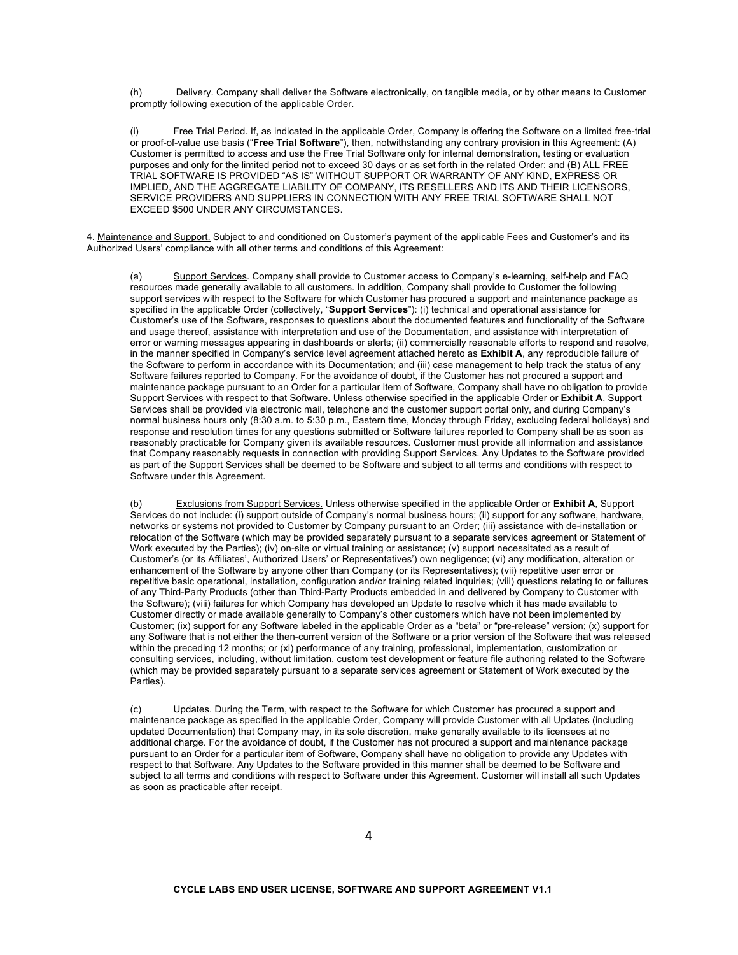(h) Delivery. Company shall deliver the Software electronically, on tangible media, or by other means to Customer promptly following execution of the applicable Order.

Free Trial Period. If, as indicated in the applicable Order, Company is offering the Software on a limited free-trial or proof-of-value use basis ("**Free Trial Software**"), then, notwithstanding any contrary provision in this Agreement: (A) Customer is permitted to access and use the Free Trial Software only for internal demonstration, testing or evaluation purposes and only for the limited period not to exceed 30 days or as set forth in the related Order; and (B) ALL FREE TRIAL SOFTWARE IS PROVIDED "AS IS" WITHOUT SUPPORT OR WARRANTY OF ANY KIND, EXPRESS OR IMPLIED, AND THE AGGREGATE LIABILITY OF COMPANY, ITS RESELLERS AND ITS AND THEIR LICENSORS, SERVICE PROVIDERS AND SUPPLIERS IN CONNECTION WITH ANY FREE TRIAL SOFTWARE SHALL NOT EXCEED \$500 UNDER ANY CIRCUMSTANCES.

4. Maintenance and Support. Subject to and conditioned on Customer's payment of the applicable Fees and Customer's and its Authorized Users' compliance with all other terms and conditions of this Agreement:

(a) Support Services. Company shall provide to Customer access to Company's e-learning, self-help and FAQ resources made generally available to all customers. In addition, Company shall provide to Customer the following support services with respect to the Software for which Customer has procured a support and maintenance package as specified in the applicable Order (collectively, "**Support Services**"): (i) technical and operational assistance for Customer's use of the Software, responses to questions about the documented features and functionality of the Software and usage thereof, assistance with interpretation and use of the Documentation, and assistance with interpretation of error or warning messages appearing in dashboards or alerts; (ii) commercially reasonable efforts to respond and resolve, in the manner specified in Company's service level agreement attached hereto as **Exhibit A**, any reproducible failure of the Software to perform in accordance with its Documentation; and (iii) case management to help track the status of any Software failures reported to Company. For the avoidance of doubt, if the Customer has not procured a support and maintenance package pursuant to an Order for a particular item of Software, Company shall have no obligation to provide Support Services with respect to that Software. Unless otherwise specified in the applicable Order or **Exhibit A**, Support Services shall be provided via electronic mail, telephone and the customer support portal only, and during Company's normal business hours only (8:30 a.m. to 5:30 p.m., Eastern time, Monday through Friday, excluding federal holidays) and response and resolution times for any questions submitted or Software failures reported to Company shall be as soon as reasonably practicable for Company given its available resources. Customer must provide all information and assistance that Company reasonably requests in connection with providing Support Services. Any Updates to the Software provided as part of the Support Services shall be deemed to be Software and subject to all terms and conditions with respect to Software under this Agreement.

**Exclusions from Support Services. Unless otherwise specified in the applicable Order or Exhibit A**, Support Services do not include: (i) support outside of Company's normal business hours; (ii) support for any software, hardware, networks or systems not provided to Customer by Company pursuant to an Order; (iii) assistance with de-installation or relocation of the Software (which may be provided separately pursuant to a separate services agreement or Statement of Work executed by the Parties); (iv) on-site or virtual training or assistance; (v) support necessitated as a result of Customer's (or its Affiliates', Authorized Users' or Representatives') own negligence; (vi) any modification, alteration or enhancement of the Software by anyone other than Company (or its Representatives); (vii) repetitive user error or repetitive basic operational, installation, configuration and/or training related inquiries; (viii) questions relating to or failures of any Third-Party Products (other than Third-Party Products embedded in and delivered by Company to Customer with the Software); (viii) failures for which Company has developed an Update to resolve which it has made available to Customer directly or made available generally to Company's other customers which have not been implemented by Customer; (ix) support for any Software labeled in the applicable Order as a "beta" or "pre-release" version; (x) support for any Software that is not either the then-current version of the Software or a prior version of the Software that was released within the preceding 12 months; or (xi) performance of any training, professional, implementation, customization or consulting services, including, without limitation, custom test development or feature file authoring related to the Software (which may be provided separately pursuant to a separate services agreement or Statement of Work executed by the Parties).

(c) Updates. During the Term, with respect to the Software for which Customer has procured a support and maintenance package as specified in the applicable Order, Company will provide Customer with all Updates (including updated Documentation) that Company may, in its sole discretion, make generally available to its licensees at no additional charge. For the avoidance of doubt, if the Customer has not procured a support and maintenance package pursuant to an Order for a particular item of Software, Company shall have no obligation to provide any Updates with respect to that Software. Any Updates to the Software provided in this manner shall be deemed to be Software and subject to all terms and conditions with respect to Software under this Agreement. Customer will install all such Updates as soon as practicable after receipt.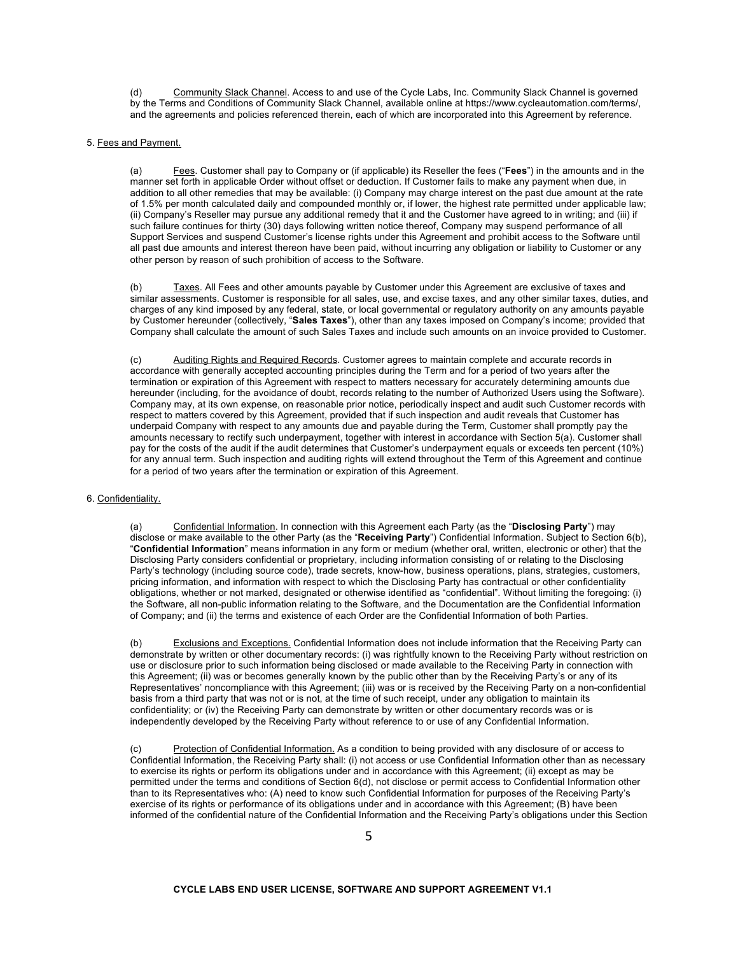(d) Community Slack Channel. Access to and use of the Cycle Labs, Inc. Community Slack Channel is governed by the Terms and Conditions of Community Slack Channel, available online at https://www.cycleautomation.com/terms/, and the agreements and policies referenced therein, each of which are incorporated into this Agreement by reference.

### 5. Fees and Payment.

(a) Fees. Customer shall pay to Company or (if applicable) its Reseller the fees ("**Fees**") in the amounts and in the manner set forth in applicable Order without offset or deduction. If Customer fails to make any payment when due, in addition to all other remedies that may be available: (i) Company may charge interest on the past due amount at the rate of 1.5% per month calculated daily and compounded monthly or, if lower, the highest rate permitted under applicable law; (ii) Company's Reseller may pursue any additional remedy that it and the Customer have agreed to in writing; and (iii) if such failure continues for thirty (30) days following written notice thereof, Company may suspend performance of all Support Services and suspend Customer's license rights under this Agreement and prohibit access to the Software until all past due amounts and interest thereon have been paid, without incurring any obligation or liability to Customer or any other person by reason of such prohibition of access to the Software.

(b) Taxes. All Fees and other amounts payable by Customer under this Agreement are exclusive of taxes and similar assessments. Customer is responsible for all sales, use, and excise taxes, and any other similar taxes, duties, and charges of any kind imposed by any federal, state, or local governmental or regulatory authority on any amounts payable by Customer hereunder (collectively, "**Sales Taxes**"), other than any taxes imposed on Company's income; provided that Company shall calculate the amount of such Sales Taxes and include such amounts on an invoice provided to Customer.

(c) Auditing Rights and Required Records. Customer agrees to maintain complete and accurate records in accordance with generally accepted accounting principles during the Term and for a period of two years after the termination or expiration of this Agreement with respect to matters necessary for accurately determining amounts due hereunder (including, for the avoidance of doubt, records relating to the number of Authorized Users using the Software). Company may, at its own expense, on reasonable prior notice, periodically inspect and audit such Customer records with respect to matters covered by this Agreement, provided that if such inspection and audit reveals that Customer has underpaid Company with respect to any amounts due and payable during the Term, Customer shall promptly pay the amounts necessary to rectify such underpayment, together with interest in accordance with Section 5(a). Customer shall pay for the costs of the audit if the audit determines that Customer's underpayment equals or exceeds ten percent (10%) for any annual term. Such inspection and auditing rights will extend throughout the Term of this Agreement and continue for a period of two years after the termination or expiration of this Agreement.

#### 6. Confidentiality.

(a) Confidential Information. In connection with this Agreement each Party (as the "**Disclosing Party**") may disclose or make available to the other Party (as the "**Receiving Party**") Confidential Information. Subject to Section 6(b), "**Confidential Information**" means information in any form or medium (whether oral, written, electronic or other) that the Disclosing Party considers confidential or proprietary, including information consisting of or relating to the Disclosing Party's technology (including source code), trade secrets, know-how, business operations, plans, strategies, customers, pricing information, and information with respect to which the Disclosing Party has contractual or other confidentiality obligations, whether or not marked, designated or otherwise identified as "confidential". Without limiting the foregoing: (i) the Software, all non-public information relating to the Software, and the Documentation are the Confidential Information of Company; and (ii) the terms and existence of each Order are the Confidential Information of both Parties.

(b) Exclusions and Exceptions. Confidential Information does not include information that the Receiving Party can demonstrate by written or other documentary records: (i) was rightfully known to the Receiving Party without restriction on use or disclosure prior to such information being disclosed or made available to the Receiving Party in connection with this Agreement; (ii) was or becomes generally known by the public other than by the Receiving Party's or any of its Representatives' noncompliance with this Agreement; (iii) was or is received by the Receiving Party on a non-confidential basis from a third party that was not or is not, at the time of such receipt, under any obligation to maintain its confidentiality; or (iv) the Receiving Party can demonstrate by written or other documentary records was or is independently developed by the Receiving Party without reference to or use of any Confidential Information.

(c) Protection of Confidential Information. As a condition to being provided with any disclosure of or access to Confidential Information, the Receiving Party shall: (i) not access or use Confidential Information other than as necessary to exercise its rights or perform its obligations under and in accordance with this Agreement; (ii) except as may be permitted under the terms and conditions of Section 6(d), not disclose or permit access to Confidential Information other than to its Representatives who: (A) need to know such Confidential Information for purposes of the Receiving Party's exercise of its rights or performance of its obligations under and in accordance with this Agreement; (B) have been informed of the confidential nature of the Confidential Information and the Receiving Party's obligations under this Section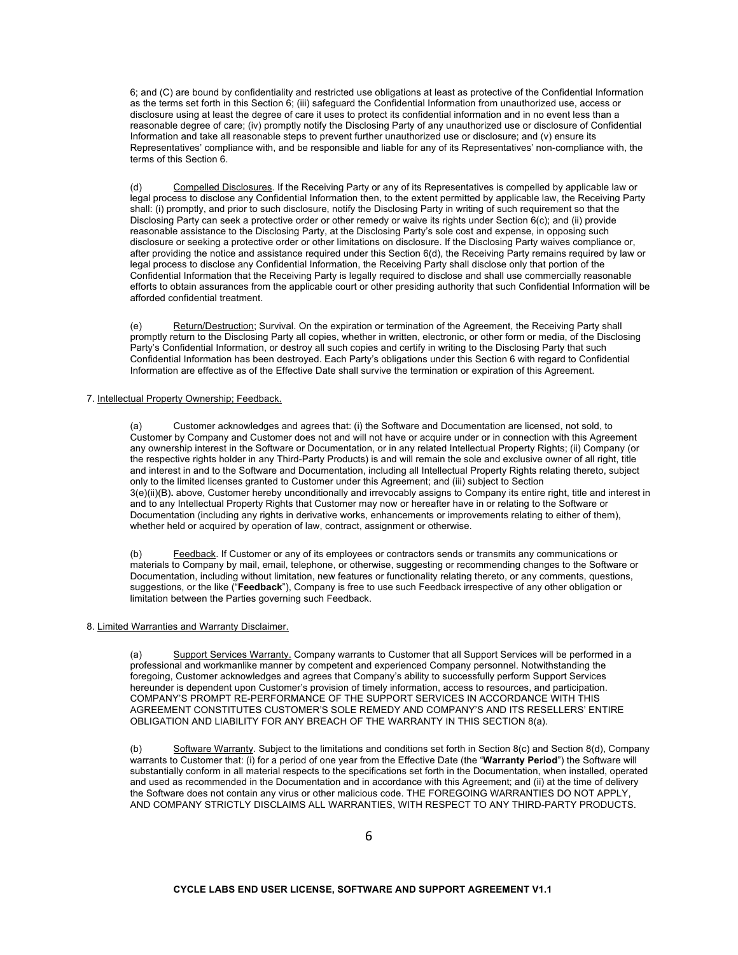6; and (C) are bound by confidentiality and restricted use obligations at least as protective of the Confidential Information as the terms set forth in this Section 6; (iii) safeguard the Confidential Information from unauthorized use, access or disclosure using at least the degree of care it uses to protect its confidential information and in no event less than a reasonable degree of care; (iv) promptly notify the Disclosing Party of any unauthorized use or disclosure of Confidential Information and take all reasonable steps to prevent further unauthorized use or disclosure; and (v) ensure its Representatives' compliance with, and be responsible and liable for any of its Representatives' non-compliance with, the terms of this Section 6.

(d) Compelled Disclosures. If the Receiving Party or any of its Representatives is compelled by applicable law or legal process to disclose any Confidential Information then, to the extent permitted by applicable law, the Receiving Party shall: (i) promptly, and prior to such disclosure, notify the Disclosing Party in writing of such requirement so that the Disclosing Party can seek a protective order or other remedy or waive its rights under Section 6(c); and (ii) provide reasonable assistance to the Disclosing Party, at the Disclosing Party's sole cost and expense, in opposing such disclosure or seeking a protective order or other limitations on disclosure. If the Disclosing Party waives compliance or, after providing the notice and assistance required under this Section 6(d), the Receiving Party remains required by law or legal process to disclose any Confidential Information, the Receiving Party shall disclose only that portion of the Confidential Information that the Receiving Party is legally required to disclose and shall use commercially reasonable efforts to obtain assurances from the applicable court or other presiding authority that such Confidential Information will be afforded confidential treatment.

(e) Return/Destruction; Survival. On the expiration or termination of the Agreement, the Receiving Party shall promptly return to the Disclosing Party all copies, whether in written, electronic, or other form or media, of the Disclosing Party's Confidential Information, or destroy all such copies and certify in writing to the Disclosing Party that such Confidential Information has been destroyed. Each Party's obligations under this Section 6 with regard to Confidential Information are effective as of the Effective Date shall survive the termination or expiration of this Agreement.

# 7. Intellectual Property Ownership; Feedback.

Customer acknowledges and agrees that: (i) the Software and Documentation are licensed, not sold, to Customer by Company and Customer does not and will not have or acquire under or in connection with this Agreement any ownership interest in the Software or Documentation, or in any related Intellectual Property Rights; (ii) Company (or the respective rights holder in any Third-Party Products) is and will remain the sole and exclusive owner of all right, title and interest in and to the Software and Documentation, including all Intellectual Property Rights relating thereto, subject only to the limited licenses granted to Customer under this Agreement; and (iii) subject to Section 3(e)(ii)(B)**.** above, Customer hereby unconditionally and irrevocably assigns to Company its entire right, title and interest in and to any Intellectual Property Rights that Customer may now or hereafter have in or relating to the Software or Documentation (including any rights in derivative works, enhancements or improvements relating to either of them), whether held or acquired by operation of law, contract, assignment or otherwise.

(b) Feedback. If Customer or any of its employees or contractors sends or transmits any communications or materials to Company by mail, email, telephone, or otherwise, suggesting or recommending changes to the Software or Documentation, including without limitation, new features or functionality relating thereto, or any comments, questions, suggestions, or the like ("**Feedback**"), Company is free to use such Feedback irrespective of any other obligation or limitation between the Parties governing such Feedback.

#### 8. Limited Warranties and Warranty Disclaimer.

(a) Support Services Warranty. Company warrants to Customer that all Support Services will be performed in a professional and workmanlike manner by competent and experienced Company personnel. Notwithstanding the foregoing, Customer acknowledges and agrees that Company's ability to successfully perform Support Services hereunder is dependent upon Customer's provision of timely information, access to resources, and participation. COMPANY'S PROMPT RE-PERFORMANCE OF THE SUPPORT SERVICES IN ACCORDANCE WITH THIS AGREEMENT CONSTITUTES CUSTOMER'S SOLE REMEDY AND COMPANY'S AND ITS RESELLERS' ENTIRE OBLIGATION AND LIABILITY FOR ANY BREACH OF THE WARRANTY IN THIS SECTION 8(a).

(b) Software Warranty. Subject to the limitations and conditions set forth in Section 8(c) and Section 8(d), Company warrants to Customer that: (i) for a period of one year from the Effective Date (the "**Warranty Period**") the Software will substantially conform in all material respects to the specifications set forth in the Documentation, when installed, operated and used as recommended in the Documentation and in accordance with this Agreement; and (ii) at the time of delivery the Software does not contain any virus or other malicious code. THE FOREGOING WARRANTIES DO NOT APPLY, AND COMPANY STRICTLY DISCLAIMS ALL WARRANTIES, WITH RESPECT TO ANY THIRD-PARTY PRODUCTS.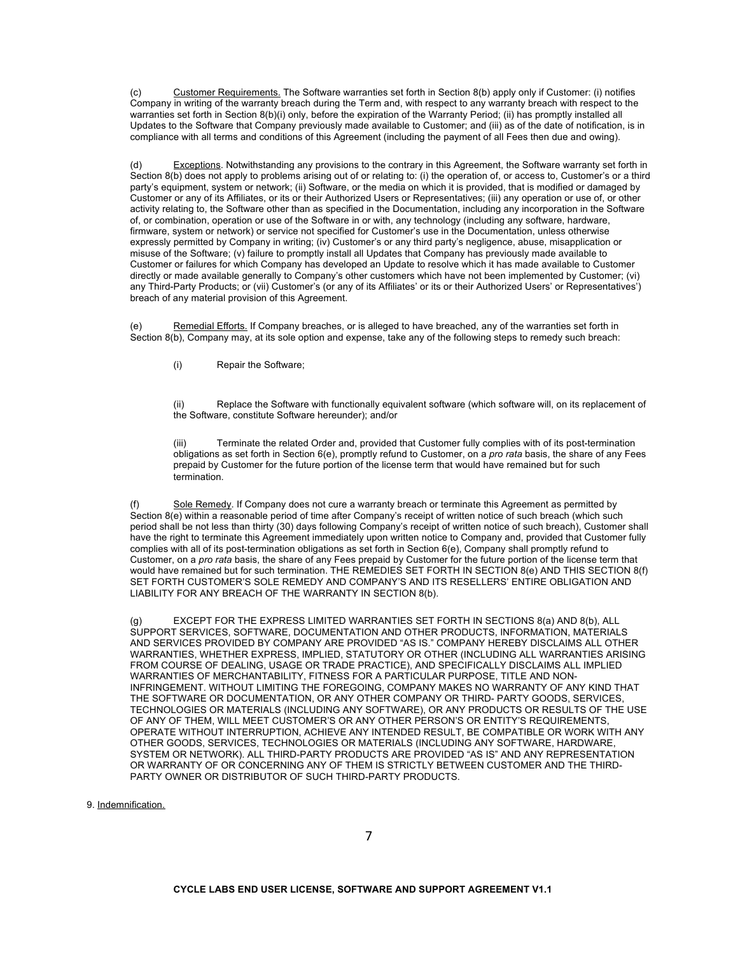(c) Customer Requirements. The Software warranties set forth in Section 8(b) apply only if Customer: (i) notifies Company in writing of the warranty breach during the Term and, with respect to any warranty breach with respect to the warranties set forth in Section 8(b)(i) only, before the expiration of the Warranty Period; (ii) has promptly installed all Updates to the Software that Company previously made available to Customer; and (iii) as of the date of notification, is in compliance with all terms and conditions of this Agreement (including the payment of all Fees then due and owing).

(d) Exceptions. Notwithstanding any provisions to the contrary in this Agreement, the Software warranty set forth in Section 8(b) does not apply to problems arising out of or relating to: (i) the operation of, or access to, Customer's or a third party's equipment, system or network; (ii) Software, or the media on which it is provided, that is modified or damaged by Customer or any of its Affiliates, or its or their Authorized Users or Representatives; (iii) any operation or use of, or other activity relating to, the Software other than as specified in the Documentation, including any incorporation in the Software of, or combination, operation or use of the Software in or with, any technology (including any software, hardware, firmware, system or network) or service not specified for Customer's use in the Documentation, unless otherwise expressly permitted by Company in writing; (iv) Customer's or any third party's negligence, abuse, misapplication or misuse of the Software; (v) failure to promptly install all Updates that Company has previously made available to Customer or failures for which Company has developed an Update to resolve which it has made available to Customer directly or made available generally to Company's other customers which have not been implemented by Customer; (vi) any Third-Party Products; or (vii) Customer's (or any of its Affiliates' or its or their Authorized Users' or Representatives') breach of any material provision of this Agreement.

(e) Remedial Efforts. If Company breaches, or is alleged to have breached, any of the warranties set forth in Section 8(b), Company may, at its sole option and expense, take any of the following steps to remedy such breach:

(i) Repair the Software;

(ii) Replace the Software with functionally equivalent software (which software will, on its replacement of the Software, constitute Software hereunder); and/or

(iii) Terminate the related Order and, provided that Customer fully complies with of its post-termination obligations as set forth in Section 6(e), promptly refund to Customer, on a *pro rata* basis, the share of any Fees prepaid by Customer for the future portion of the license term that would have remained but for such termination.

Sole Remedy. If Company does not cure a warranty breach or terminate this Agreement as permitted by Section 8(e) within a reasonable period of time after Company's receipt of written notice of such breach (which such period shall be not less than thirty (30) days following Company's receipt of written notice of such breach), Customer shall have the right to terminate this Agreement immediately upon written notice to Company and, provided that Customer fully complies with all of its post-termination obligations as set forth in Section 6(e), Company shall promptly refund to Customer, on a *pro rata* basis, the share of any Fees prepaid by Customer for the future portion of the license term that would have remained but for such termination. THE REMEDIES SET FORTH IN SECTION 8(e) AND THIS SECTION 8(f) SET FORTH CUSTOMER'S SOLE REMEDY AND COMPANY'S AND ITS RESELLERS' ENTIRE OBLIGATION AND LIABILITY FOR ANY BREACH OF THE WARRANTY IN SECTION 8(b).

(g) EXCEPT FOR THE EXPRESS LIMITED WARRANTIES SET FORTH IN SECTIONS 8(a) AND 8(b), ALL SUPPORT SERVICES, SOFTWARE, DOCUMENTATION AND OTHER PRODUCTS, INFORMATION, MATERIALS AND SERVICES PROVIDED BY COMPANY ARE PROVIDED "AS IS." COMPANY HEREBY DISCLAIMS ALL OTHER WARRANTIES, WHETHER EXPRESS, IMPLIED, STATUTORY OR OTHER (INCLUDING ALL WARRANTIES ARISING FROM COURSE OF DEALING, USAGE OR TRADE PRACTICE), AND SPECIFICALLY DISCLAIMS ALL IMPLIED WARRANTIES OF MERCHANTABILITY, FITNESS FOR A PARTICULAR PURPOSE, TITLE AND NON-INFRINGEMENT. WITHOUT LIMITING THE FOREGOING, COMPANY MAKES NO WARRANTY OF ANY KIND THAT THE SOFTWARE OR DOCUMENTATION, OR ANY OTHER COMPANY OR THIRD- PARTY GOODS, SERVICES, TECHNOLOGIES OR MATERIALS (INCLUDING ANY SOFTWARE), OR ANY PRODUCTS OR RESULTS OF THE USE OF ANY OF THEM, WILL MEET CUSTOMER'S OR ANY OTHER PERSON'S OR ENTITY'S REQUIREMENTS, OPERATE WITHOUT INTERRUPTION, ACHIEVE ANY INTENDED RESULT, BE COMPATIBLE OR WORK WITH ANY OTHER GOODS, SERVICES, TECHNOLOGIES OR MATERIALS (INCLUDING ANY SOFTWARE, HARDWARE, SYSTEM OR NETWORK). ALL THIRD-PARTY PRODUCTS ARE PROVIDED "AS IS" AND ANY REPRESENTATION OR WARRANTY OF OR CONCERNING ANY OF THEM IS STRICTLY BETWEEN CUSTOMER AND THE THIRD-PARTY OWNER OR DISTRIBUTOR OF SUCH THIRD-PARTY PRODUCTS.

9. Indemnification.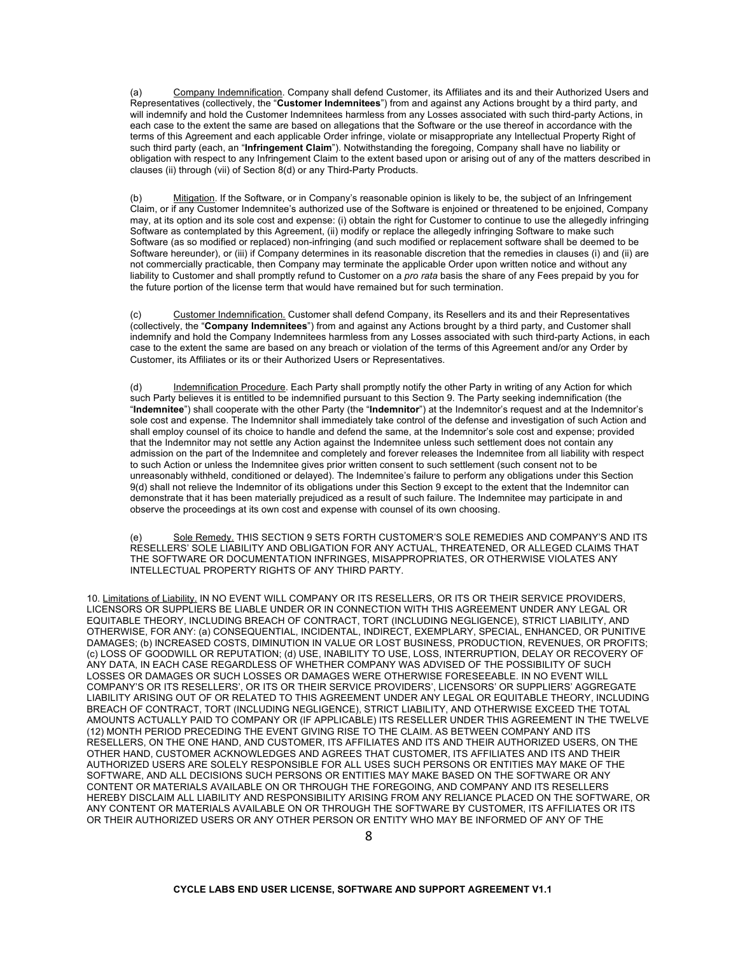(a) Company Indemnification. Company shall defend Customer, its Affiliates and its and their Authorized Users and Representatives (collectively, the "**Customer Indemnitees**") from and against any Actions brought by a third party, and will indemnify and hold the Customer Indemnitees harmless from any Losses associated with such third-party Actions, in each case to the extent the same are based on allegations that the Software or the use thereof in accordance with the terms of this Agreement and each applicable Order infringe, violate or misappropriate any Intellectual Property Right of such third party (each, an "**Infringement Claim**"). Notwithstanding the foregoing, Company shall have no liability or obligation with respect to any Infringement Claim to the extent based upon or arising out of any of the matters described in clauses (ii) through (vii) of Section 8(d) or any Third-Party Products.

Mitigation. If the Software, or in Company's reasonable opinion is likely to be, the subject of an Infringement Claim, or if any Customer Indemnitee's authorized use of the Software is enjoined or threatened to be enjoined, Company may, at its option and its sole cost and expense: (i) obtain the right for Customer to continue to use the allegedly infringing Software as contemplated by this Agreement, (ii) modify or replace the allegedly infringing Software to make such Software (as so modified or replaced) non-infringing (and such modified or replacement software shall be deemed to be Software hereunder), or (iii) if Company determines in its reasonable discretion that the remedies in clauses (i) and (ii) are not commercially practicable, then Company may terminate the applicable Order upon written notice and without any liability to Customer and shall promptly refund to Customer on a *pro rata* basis the share of any Fees prepaid by you for the future portion of the license term that would have remained but for such termination.

(c) Customer Indemnification. Customer shall defend Company, its Resellers and its and their Representatives (collectively, the "**Company Indemnitees**") from and against any Actions brought by a third party, and Customer shall indemnify and hold the Company Indemnitees harmless from any Losses associated with such third-party Actions, in each case to the extent the same are based on any breach or violation of the terms of this Agreement and/or any Order by Customer, its Affiliates or its or their Authorized Users or Representatives.

(d) Indemnification Procedure. Each Party shall promptly notify the other Party in writing of any Action for which such Party believes it is entitled to be indemnified pursuant to this Section 9. The Party seeking indemnification (the "**Indemnitee**") shall cooperate with the other Party (the "**Indemnitor**") at the Indemnitor's request and at the Indemnitor's sole cost and expense. The Indemnitor shall immediately take control of the defense and investigation of such Action and shall employ counsel of its choice to handle and defend the same, at the Indemnitor's sole cost and expense; provided that the Indemnitor may not settle any Action against the Indemnitee unless such settlement does not contain any admission on the part of the Indemnitee and completely and forever releases the Indemnitee from all liability with respect to such Action or unless the Indemnitee gives prior written consent to such settlement (such consent not to be unreasonably withheld, conditioned or delayed). The Indemnitee's failure to perform any obligations under this Section 9(d) shall not relieve the Indemnitor of its obligations under this Section 9 except to the extent that the Indemnitor can demonstrate that it has been materially prejudiced as a result of such failure. The Indemnitee may participate in and observe the proceedings at its own cost and expense with counsel of its own choosing.

Sole Remedy. THIS SECTION 9 SETS FORTH CUSTOMER'S SOLE REMEDIES AND COMPANY'S AND ITS RESELLERS' SOLE LIABILITY AND OBLIGATION FOR ANY ACTUAL, THREATENED, OR ALLEGED CLAIMS THAT THE SOFTWARE OR DOCUMENTATION INFRINGES, MISAPPROPRIATES, OR OTHERWISE VIOLATES ANY INTELLECTUAL PROPERTY RIGHTS OF ANY THIRD PARTY.

10. Limitations of Liability. IN NO EVENT WILL COMPANY OR ITS RESELLERS, OR ITS OR THEIR SERVICE PROVIDERS, LICENSORS OR SUPPLIERS BE LIABLE UNDER OR IN CONNECTION WITH THIS AGREEMENT UNDER ANY LEGAL OR EQUITABLE THEORY, INCLUDING BREACH OF CONTRACT, TORT (INCLUDING NEGLIGENCE), STRICT LIABILITY, AND OTHERWISE, FOR ANY: (a) CONSEQUENTIAL, INCIDENTAL, INDIRECT, EXEMPLARY, SPECIAL, ENHANCED, OR PUNITIVE DAMAGES; (b) INCREASED COSTS, DIMINUTION IN VALUE OR LOST BUSINESS, PRODUCTION, REVENUES, OR PROFITS; (c) LOSS OF GOODWILL OR REPUTATION; (d) USE, INABILITY TO USE, LOSS, INTERRUPTION, DELAY OR RECOVERY OF ANY DATA, IN EACH CASE REGARDLESS OF WHETHER COMPANY WAS ADVISED OF THE POSSIBILITY OF SUCH LOSSES OR DAMAGES OR SUCH LOSSES OR DAMAGES WERE OTHERWISE FORESEEABLE. IN NO EVENT WILL COMPANY'S OR ITS RESELLERS', OR ITS OR THEIR SERVICE PROVIDERS', LICENSORS' OR SUPPLIERS' AGGREGATE LIABILITY ARISING OUT OF OR RELATED TO THIS AGREEMENT UNDER ANY LEGAL OR EQUITABLE THEORY, INCLUDING BREACH OF CONTRACT, TORT (INCLUDING NEGLIGENCE), STRICT LIABILITY, AND OTHERWISE EXCEED THE TOTAL AMOUNTS ACTUALLY PAID TO COMPANY OR (IF APPLICABLE) ITS RESELLER UNDER THIS AGREEMENT IN THE TWELVE (12) MONTH PERIOD PRECEDING THE EVENT GIVING RISE TO THE CLAIM. AS BETWEEN COMPANY AND ITS RESELLERS, ON THE ONE HAND, AND CUSTOMER, ITS AFFILIATES AND ITS AND THEIR AUTHORIZED USERS, ON THE OTHER HAND, CUSTOMER ACKNOWLEDGES AND AGREES THAT CUSTOMER, ITS AFFILIATES AND ITS AND THEIR AUTHORIZED USERS ARE SOLELY RESPONSIBLE FOR ALL USES SUCH PERSONS OR ENTITIES MAY MAKE OF THE SOFTWARE, AND ALL DECISIONS SUCH PERSONS OR ENTITIES MAY MAKE BASED ON THE SOFTWARE OR ANY CONTENT OR MATERIALS AVAILABLE ON OR THROUGH THE FOREGOING, AND COMPANY AND ITS RESELLERS HEREBY DISCLAIM ALL LIABILITY AND RESPONSIBILITY ARISING FROM ANY RELIANCE PLACED ON THE SOFTWARE, OR ANY CONTENT OR MATERIALS AVAILABLE ON OR THROUGH THE SOFTWARE BY CUSTOMER, ITS AFFILIATES OR ITS OR THEIR AUTHORIZED USERS OR ANY OTHER PERSON OR ENTITY WHO MAY BE INFORMED OF ANY OF THE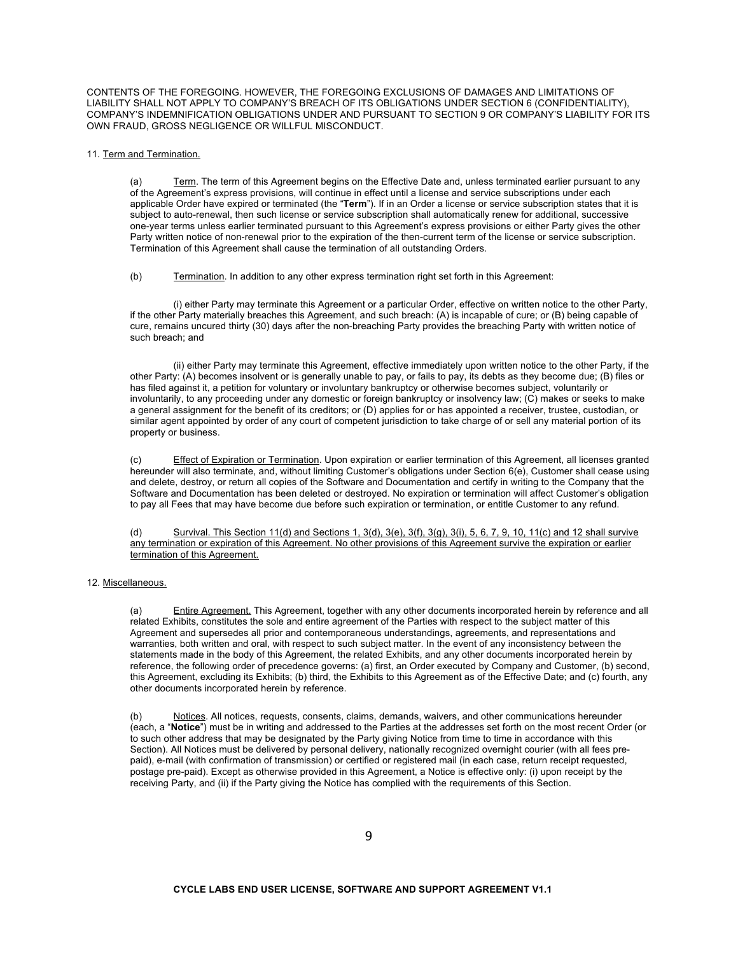CONTENTS OF THE FOREGOING. HOWEVER, THE FOREGOING EXCLUSIONS OF DAMAGES AND LIMITATIONS OF LIABILITY SHALL NOT APPLY TO COMPANY'S BREACH OF ITS OBLIGATIONS UNDER SECTION 6 (CONFIDENTIALITY), COMPANY'S INDEMNIFICATION OBLIGATIONS UNDER AND PURSUANT TO SECTION 9 OR COMPANY'S LIABILITY FOR ITS OWN FRAUD, GROSS NEGLIGENCE OR WILLFUL MISCONDUCT.

11. Term and Termination.

(a) Term. The term of this Agreement begins on the Effective Date and, unless terminated earlier pursuant to any of the Agreement's express provisions, will continue in effect until a license and service subscriptions under each applicable Order have expired or terminated (the "**Term**"). If in an Order a license or service subscription states that it is subject to auto-renewal, then such license or service subscription shall automatically renew for additional, successive one-year terms unless earlier terminated pursuant to this Agreement's express provisions or either Party gives the other Party written notice of non-renewal prior to the expiration of the then-current term of the license or service subscription. Termination of this Agreement shall cause the termination of all outstanding Orders.

#### (b) Termination. In addition to any other express termination right set forth in this Agreement:

(i) either Party may terminate this Agreement or a particular Order, effective on written notice to the other Party, if the other Party materially breaches this Agreement, and such breach: (A) is incapable of cure; or (B) being capable of cure, remains uncured thirty (30) days after the non-breaching Party provides the breaching Party with written notice of such breach; and

(ii) either Party may terminate this Agreement, effective immediately upon written notice to the other Party, if the other Party: (A) becomes insolvent or is generally unable to pay, or fails to pay, its debts as they become due; (B) files or has filed against it, a petition for voluntary or involuntary bankruptcy or otherwise becomes subject, voluntarily or involuntarily, to any proceeding under any domestic or foreign bankruptcy or insolvency law; (C) makes or seeks to make a general assignment for the benefit of its creditors; or (D) applies for or has appointed a receiver, trustee, custodian, or similar agent appointed by order of any court of competent jurisdiction to take charge of or sell any material portion of its property or business.

(c) Effect of Expiration or Termination. Upon expiration or earlier termination of this Agreement, all licenses granted hereunder will also terminate, and, without limiting Customer's obligations under Section 6(e), Customer shall cease using and delete, destroy, or return all copies of the Software and Documentation and certify in writing to the Company that the Software and Documentation has been deleted or destroyed. No expiration or termination will affect Customer's obligation to pay all Fees that may have become due before such expiration or termination, or entitle Customer to any refund.

(d) Survival. This Section 11(d) and Sections 1,  $3(d)$ ,  $3(e)$ ,  $3(f)$ ,  $3(g)$ ,  $3(i)$ ,  $5$ ,  $6$ ,  $7$ ,  $9$ ,  $10$ ,  $11(c)$  and 12 shall survive any termination or expiration of this Agreement. No other provisions of this Agreement survive the expiration or earlier termination of this Agreement.

### 12. Miscellaneous.

(a) Entire Agreement. This Agreement, together with any other documents incorporated herein by reference and all related Exhibits, constitutes the sole and entire agreement of the Parties with respect to the subject matter of this Agreement and supersedes all prior and contemporaneous understandings, agreements, and representations and warranties, both written and oral, with respect to such subject matter. In the event of any inconsistency between the statements made in the body of this Agreement, the related Exhibits, and any other documents incorporated herein by reference, the following order of precedence governs: (a) first, an Order executed by Company and Customer, (b) second, this Agreement, excluding its Exhibits; (b) third, the Exhibits to this Agreement as of the Effective Date; and (c) fourth, any other documents incorporated herein by reference.

(b) Notices. All notices, requests, consents, claims, demands, waivers, and other communications hereunder (each, a "**Notice**") must be in writing and addressed to the Parties at the addresses set forth on the most recent Order (or to such other address that may be designated by the Party giving Notice from time to time in accordance with this Section). All Notices must be delivered by personal delivery, nationally recognized overnight courier (with all fees prepaid), e-mail (with confirmation of transmission) or certified or registered mail (in each case, return receipt requested, postage pre-paid). Except as otherwise provided in this Agreement, a Notice is effective only: (i) upon receipt by the receiving Party, and (ii) if the Party giving the Notice has complied with the requirements of this Section.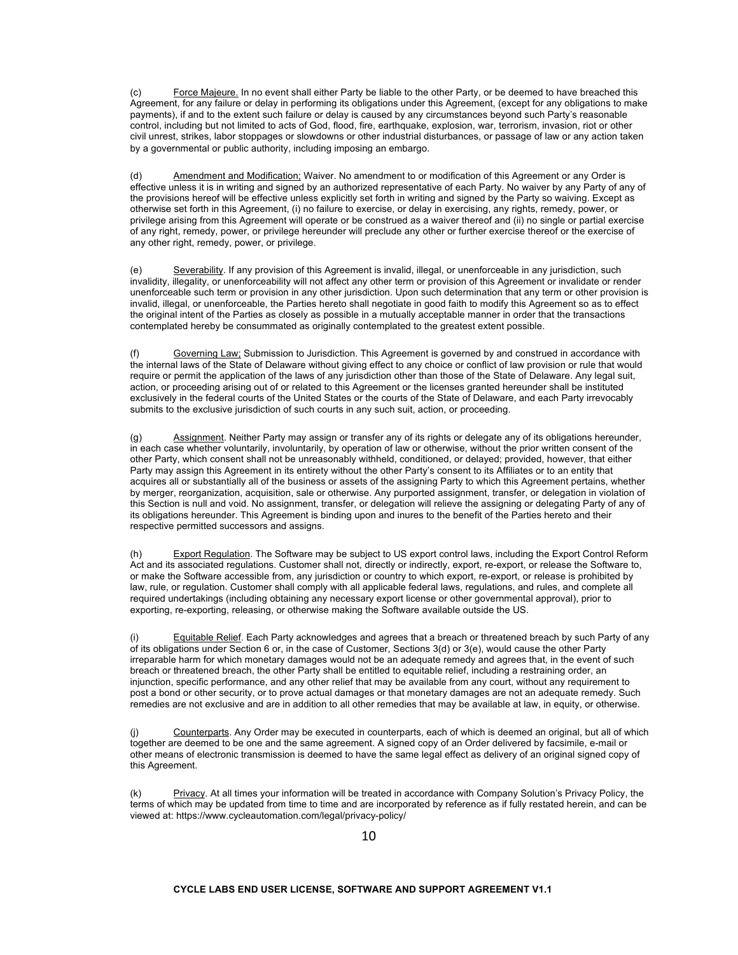(c) Force Majeure. In no event shall either Party be liable to the other Party, or be deemed to have breached this Agreement, for any failure or delay in performing its obligations under this Agreement, (except for any obligations to make payments), if and to the extent such failure or delay is caused by any circumstances beyond such Party's reasonable control, including but not limited to acts of God, flood, fire, earthquake, explosion, war, terrorism, invasion, riot or other civil unrest, strikes, labor stoppages or slowdowns or other industrial disturbances, or passage of law or any action taken by a governmental or public authority, including imposing an embargo.

(d) Amendment and Modification; Waiver. No amendment to or modification of this Agreement or any Order is effective unless it is in writing and signed by an authorized representative of each Party. No waiver by any Party of any of the provisions hereof will be effective unless explicitly set forth in writing and signed by the Party so waiving. Except as otherwise set forth in this Agreement, (i) no failure to exercise, or delay in exercising, any rights, remedy, power, or privilege arising from this Agreement will operate or be construed as a waiver thereof and (ii) no single or partial exercise of any right, remedy, power, or privilege hereunder will preclude any other or further exercise thereof or the exercise of any other right, remedy, power, or privilege.

(e) Severability. If any provision of this Agreement is invalid, illegal, or unenforceable in any jurisdiction, such invalidity, illegality, or unenforceability will not affect any other term or provision of this Agreement or invalidate or render unenforceable such term or provision in any other jurisdiction. Upon such determination that any term or other provision is invalid, illegal, or unenforceable, the Parties hereto shall negotiate in good faith to modify this Agreement so as to effect the original intent of the Parties as closely as possible in a mutually acceptable manner in order that the transactions contemplated hereby be consummated as originally contemplated to the greatest extent possible.

(f) Governing Law; Submission to Jurisdiction. This Agreement is governed by and construed in accordance with the internal laws of the State of Delaware without giving effect to any choice or conflict of law provision or rule that would require or permit the application of the laws of any jurisdiction other than those of the State of Delaware. Any legal suit, action, or proceeding arising out of or related to this Agreement or the licenses granted hereunder shall be instituted exclusively in the federal courts of the United States or the courts of the State of Delaware, and each Party irrevocably submits to the exclusive jurisdiction of such courts in any such suit, action, or proceeding.

(g) Assignment. Neither Party may assign or transfer any of its rights or delegate any of its obligations hereunder, in each case whether voluntarily, involuntarily, by operation of law or otherwise, without the prior written consent of the other Party, which consent shall not be unreasonably withheld, conditioned, or delayed; provided, however, that either Party may assign this Agreement in its entirety without the other Party's consent to its Affiliates or to an entity that acquires all or substantially all of the business or assets of the assigning Party to which this Agreement pertains, whether by merger, reorganization, acquisition, sale or otherwise. Any purported assignment, transfer, or delegation in violation of this Section is null and void. No assignment, transfer, or delegation will relieve the assigning or delegating Party of any of its obligations hereunder. This Agreement is binding upon and inures to the benefit of the Parties hereto and their respective permitted successors and assigns.

Export Regulation. The Software may be subject to US export control laws, including the Export Control Reform Act and its associated regulations. Customer shall not, directly or indirectly, export, re-export, or release the Software to, or make the Software accessible from, any jurisdiction or country to which export, re-export, or release is prohibited by law, rule, or regulation. Customer shall comply with all applicable federal laws, regulations, and rules, and complete all required undertakings (including obtaining any necessary export license or other governmental approval), prior to exporting, re-exporting, releasing, or otherwise making the Software available outside the US.

(i) Equitable Relief. Each Party acknowledges and agrees that a breach or threatened breach by such Party of any of its obligations under Section 6 or, in the case of Customer, Sections 3(d) or 3(e), would cause the other Party irreparable harm for which monetary damages would not be an adequate remedy and agrees that, in the event of such breach or threatened breach, the other Party shall be entitled to equitable relief, including a restraining order, an injunction, specific performance, and any other relief that may be available from any court, without any requirement to post a bond or other security, or to prove actual damages or that monetary damages are not an adequate remedy. Such remedies are not exclusive and are in addition to all other remedies that may be available at law, in equity, or otherwise.

Counterparts. Any Order may be executed in counterparts, each of which is deemed an original, but all of which together are deemed to be one and the same agreement. A signed copy of an Order delivered by facsimile, e-mail or other means of electronic transmission is deemed to have the same legal effect as delivery of an original signed copy of this Agreement.

(k) Privacy. At all times your information will be treated in accordance with Company Solution's Privacy Policy, the terms of which may be updated from time to time and are incorporated by reference as if fully restated herein, and can be viewed at: https://www.cycleautomation.com/legal/privacy-policy/

### **CYCLE LABS END USER LICENSE, SOFTWARE AND SUPPORT AGREEMENT V1.1**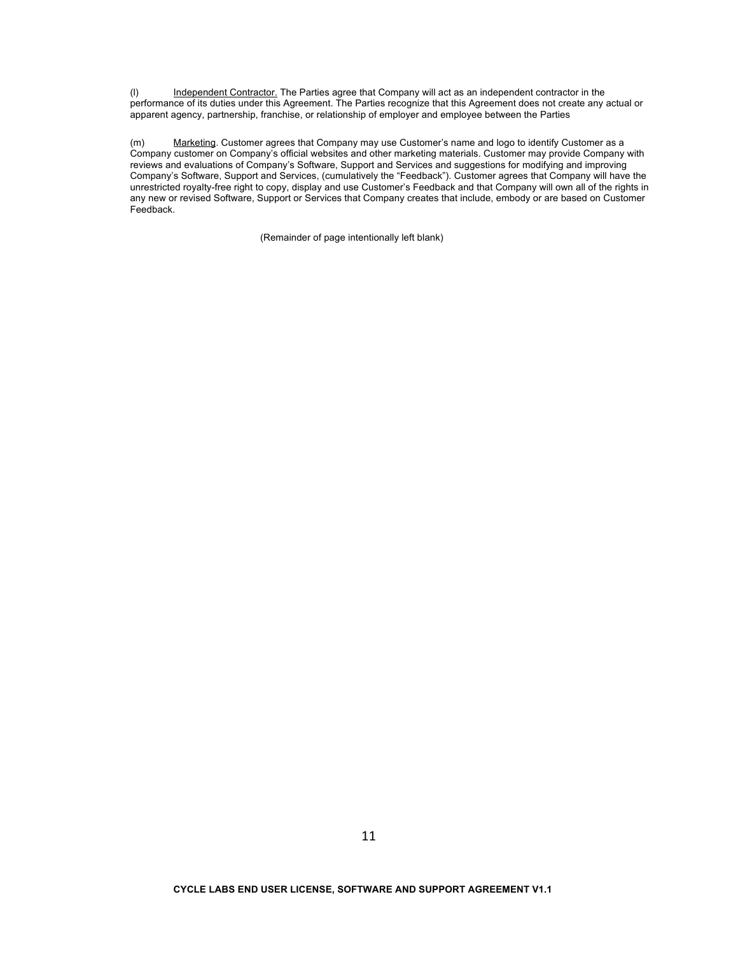(l) Independent Contractor. The Parties agree that Company will act as an independent contractor in the performance of its duties under this Agreement. The Parties recognize that this Agreement does not create any actual or apparent agency, partnership, franchise, or relationship of employer and employee between the Parties

(m) Marketing. Customer agrees that Company may use Customer's name and logo to identify Customer as a Company customer on Company's official websites and other marketing materials. Customer may provide Company with reviews and evaluations of Company's Software, Support and Services and suggestions for modifying and improving Company's Software, Support and Services, (cumulatively the "Feedback"). Customer agrees that Company will have the unrestricted royalty-free right to copy, display and use Customer's Feedback and that Company will own all of the rights in any new or revised Software, Support or Services that Company creates that include, embody or are based on Customer Feedback.

(Remainder of page intentionally left blank)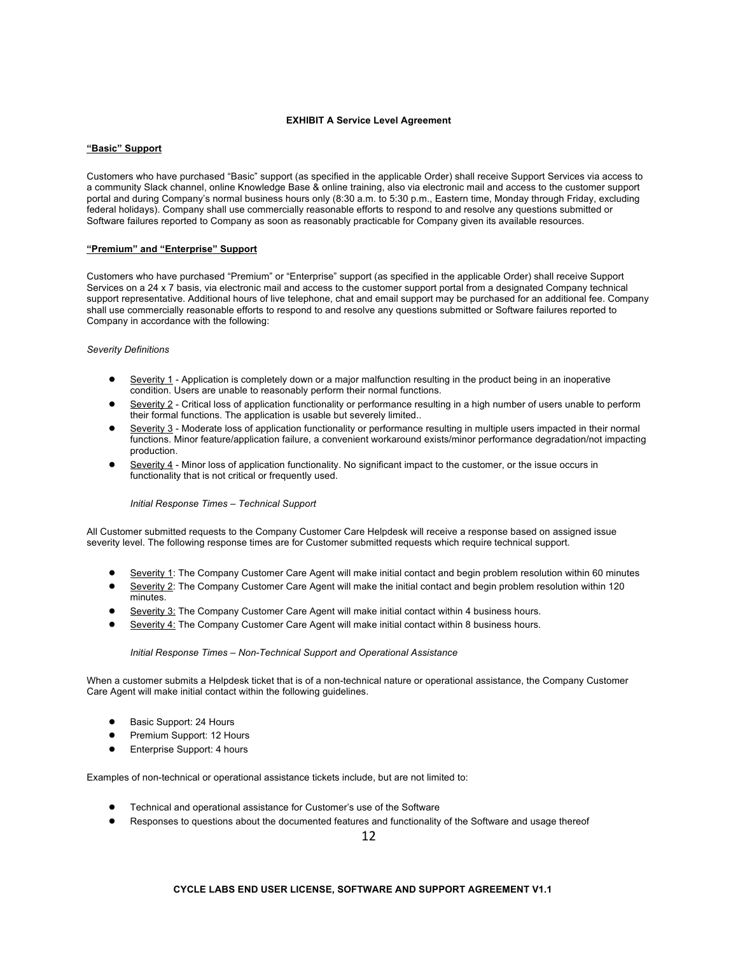### **EXHIBIT A Service Level Agreement**

### **"Basic" Support**

Customers who have purchased "Basic" support (as specified in the applicable Order) shall receive Support Services via access to a community Slack channel, online Knowledge Base & online training, also via electronic mail and access to the customer support portal and during Company's normal business hours only (8:30 a.m. to 5:30 p.m., Eastern time, Monday through Friday, excluding federal holidays). Company shall use commercially reasonable efforts to respond to and resolve any questions submitted or Software failures reported to Company as soon as reasonably practicable for Company given its available resources.

#### **"Premium" and "Enterprise" Support**

Customers who have purchased "Premium" or "Enterprise" support (as specified in the applicable Order) shall receive Support Services on a 24 x 7 basis, via electronic mail and access to the customer support portal from a designated Company technical support representative. Additional hours of live telephone, chat and email support may be purchased for an additional fee. Company shall use commercially reasonable efforts to respond to and resolve any questions submitted or Software failures reported to Company in accordance with the following:

#### *Severity Definitions*

- Severity 1 Application is completely down or a major malfunction resulting in the product being in an inoperative condition. Users are unable to reasonably perform their normal functions.
- Severity 2 Critical loss of application functionality or performance resulting in a high number of users unable to perform their formal functions. The application is usable but severely limited..
- Severity 3 Moderate loss of application functionality or performance resulting in multiple users impacted in their normal functions. Minor feature/application failure, a convenient workaround exists/minor performance degradation/not impacting production.
- Severity 4 Minor loss of application functionality. No significant impact to the customer, or the issue occurs in functionality that is not critical or frequently used.

### *Initial Response Times – Technical Support*

All Customer submitted requests to the Company Customer Care Helpdesk will receive a response based on assigned issue severity level. The following response times are for Customer submitted requests which require technical support.

- Severity 1: The Company Customer Care Agent will make initial contact and begin problem resolution within 60 minutes
- Severity 2: The Company Customer Care Agent will make the initial contact and begin problem resolution within 120 minutes.
- Severity 3: The Company Customer Care Agent will make initial contact within 4 business hours.
- Severity 4: The Company Customer Care Agent will make initial contact within 8 business hours.

#### *Initial Response Times – Non-Technical Support and Operational Assistance*

When a customer submits a Helpdesk ticket that is of a non-technical nature or operational assistance, the Company Customer Care Agent will make initial contact within the following guidelines.

- Basic Support: 24 Hours
- Premium Support: 12 Hours
- Enterprise Support: 4 hours

Examples of non-technical or operational assistance tickets include, but are not limited to:

- Technical and operational assistance for Customer's use of the Software
- Responses to questions about the documented features and functionality of the Software and usage thereof